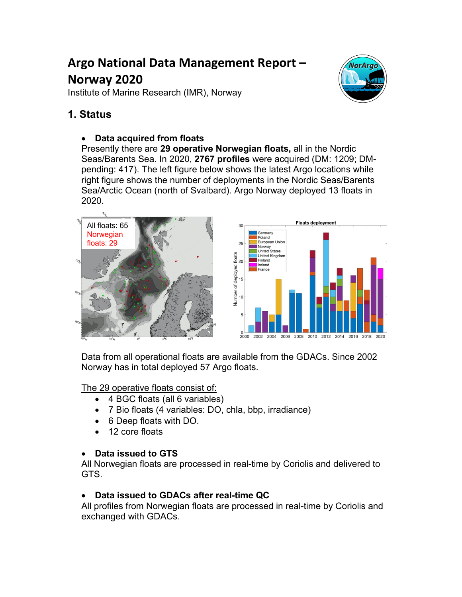# **Argo National Data Management Report – Norway 2020**

Institute of Marine Research (IMR), Norway



## **1. Status**

### • **Data acquired from floats**

Presently there are **29 operative Norwegian floats,** all in the Nordic Seas/Barents Sea. In 2020, **2767 profiles** were acquired (DM: 1209; DMpending: 417). The left figure below shows the latest Argo locations while right figure shows the number of deployments in the Nordic Seas/Barents Sea/Arctic Ocean (north of Svalbard). Argo Norway deployed 13 floats in 2020.



Data from all operational floats are available from the GDACs. Since 2002 Norway has in total deployed 57 Argo floats.

The 29 operative floats consist of:

- 4 BGC floats (all 6 variables)
- 7 Bio floats (4 variables: DO, chla, bbp, irradiance)
- 6 Deep floats with DO.
- 12 core floats

### • **Data issued to GTS**

All Norwegian floats are processed in real-time by Coriolis and delivered to GTS.

### • **Data issued to GDACs after real-time QC**

All profiles from Norwegian floats are processed in real-time by Coriolis and exchanged with GDACs.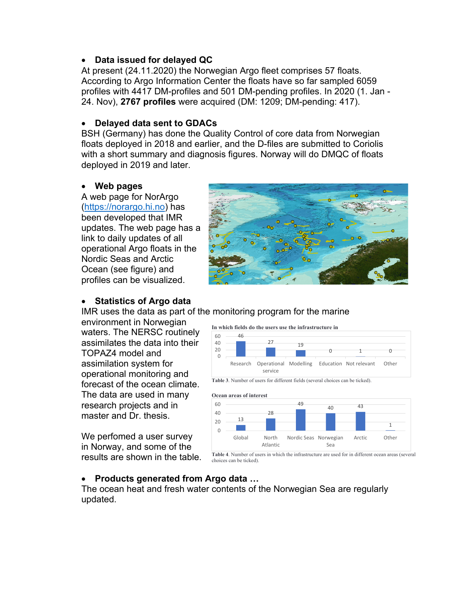#### • **Data issued for delayed QC**

At present (24.11.2020) the Norwegian Argo fleet comprises 57 floats. According to Argo Information Center the floats have so far sampled 6059 profiles with 4417 DM-profiles and 501 DM-pending profiles. In 2020 (1. Jan - 24. Nov), **2767 profiles** were acquired (DM: 1209; DM-pending: 417).

#### • **Delayed data sent to GDACs**

BSH (Germany) has done the Quality Control of core data from Norwegian floats deployed in 2018 and earlier, and the D-files are submitted to Coriolis with a short summary and diagnosis figures. Norway will do DMQC of floats deployed in 2019 and later.

#### • **Web pages**

A web page for NorArgo (https://norargo.hi.no) has been developed that IMR updates. The web page has a link to daily updates of all operational Argo floats in the Nordic Seas and Arctic Ocean (see figure) and profiles can be visualized.



#### • **Statistics of Argo data**

IMR uses the data as part of the monitoring program for the marine

environment in Norwegian waters. The NERSC routinely assimilates the data into their TOPAZ4 model and assimilation system for operational monitoring and forecast of the ocean climate. The data are used in many research projects and in master and Dr. thesis.

We perfomed a user survey in Norway, and some of the results are shown in the table.

#### • Products generated from A<sup>t</sup>

The ocean heat and fresh water updated.

#### **In which fields do the users use the infrastructure in**



#### **Table 3**. Number of users for different fields (several choices can be ticked).

#### **Ocean areas of interest**



**Table 4**. Number of users in which the infrastructure are used for in different ocean areas (several choices can be ticked).